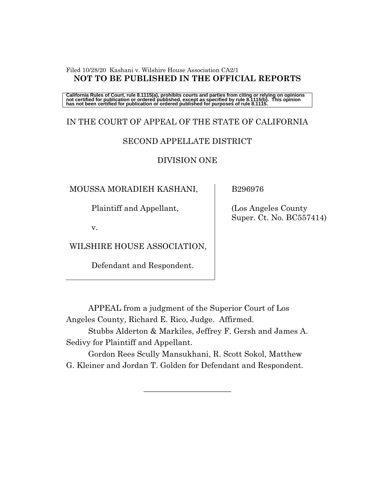#### Filed 10/28/20 Kashani v. Wilshire House Association CA2/1 **NOT TO BE PUBLISHED IN THE OFFICIAL REPORTS**

California Rules of Court, rule 8.1115(a), prohibits courts and parties from citing or relying on opinions<br>not certified for publication or ordered published, except as specified by rule 8.1115(b). This opinion<br>has not be

# IN THE COURT OF APPEAL OF THE STATE OF CALIFORNIA

### SECOND APPELLATE DISTRICT

### DIVISION ONE

MOUSSA MORADIEH KASHANI,

Plaintiff and Appellant,

v.

WILSHIRE HOUSE ASSOCIATION,

Defendant and Respondent.

B296976

 (Los Angeles County Super. Ct. No. BC557414)

APPEAL from a judgment of the Superior Court of Los Angeles County, Richard E. Rico, Judge. Affirmed.

Stubbs Alderton & Markiles, Jeffrey F. Gersh and James A. Sedivy for Plaintiff and Appellant.

Gordon Rees Scully Mansukhani, R. Scott Sokol, Matthew G. Kleiner and Jordan T. Golden for Defendant and Respondent.

 $\overline{\phantom{a}}$  , where  $\overline{\phantom{a}}$  , where  $\overline{\phantom{a}}$  , where  $\overline{\phantom{a}}$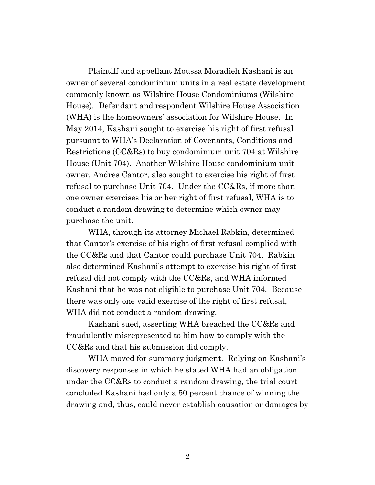Plaintiff and appellant Moussa Moradieh Kashani is an owner of several condominium units in a real estate development commonly known as Wilshire House Condominiums (Wilshire House). Defendant and respondent Wilshire House Association (WHA) is the homeowners' association for Wilshire House. In May 2014, Kashani sought to exercise his right of first refusal pursuant to WHA's Declaration of Covenants, Conditions and Restrictions (CC&Rs) to buy condominium unit 704 at Wilshire House (Unit 704). Another Wilshire House condominium unit owner, Andres Cantor, also sought to exercise his right of first refusal to purchase Unit 704. Under the CC&Rs, if more than one owner exercises his or her right of first refusal, WHA is to conduct a random drawing to determine which owner may purchase the unit.

WHA, through its attorney Michael Rabkin, determined that Cantor's exercise of his right of first refusal complied with the CC&Rs and that Cantor could purchase Unit 704. Rabkin also determined Kashani's attempt to exercise his right of first refusal did not comply with the CC&Rs, and WHA informed Kashani that he was not eligible to purchase Unit 704. Because there was only one valid exercise of the right of first refusal, WHA did not conduct a random drawing.

Kashani sued, asserting WHA breached the CC&Rs and fraudulently misrepresented to him how to comply with the CC&Rs and that his submission did comply.

WHA moved for summary judgment. Relying on Kashani's discovery responses in which he stated WHA had an obligation under the CC&Rs to conduct a random drawing, the trial court concluded Kashani had only a 50 percent chance of winning the drawing and, thus, could never establish causation or damages by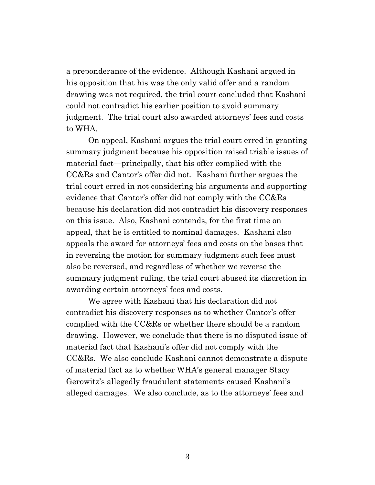a preponderance of the evidence. Although Kashani argued in his opposition that his was the only valid offer and a random drawing was not required, the trial court concluded that Kashani could not contradict his earlier position to avoid summary judgment. The trial court also awarded attorneys' fees and costs to WHA.

On appeal, Kashani argues the trial court erred in granting summary judgment because his opposition raised triable issues of material fact—principally, that his offer complied with the CC&Rs and Cantor's offer did not. Kashani further argues the trial court erred in not considering his arguments and supporting evidence that Cantor's offer did not comply with the CC&Rs because his declaration did not contradict his discovery responses on this issue. Also, Kashani contends, for the first time on appeal, that he is entitled to nominal damages. Kashani also appeals the award for attorneys' fees and costs on the bases that in reversing the motion for summary judgment such fees must also be reversed, and regardless of whether we reverse the summary judgment ruling, the trial court abused its discretion in awarding certain attorneys' fees and costs.

We agree with Kashani that his declaration did not contradict his discovery responses as to whether Cantor's offer complied with the CC&Rs or whether there should be a random drawing. However, we conclude that there is no disputed issue of material fact that Kashani's offer did not comply with the CC&Rs. We also conclude Kashani cannot demonstrate a dispute of material fact as to whether WHA's general manager Stacy Gerowitz's allegedly fraudulent statements caused Kashani's alleged damages. We also conclude, as to the attorneys' fees and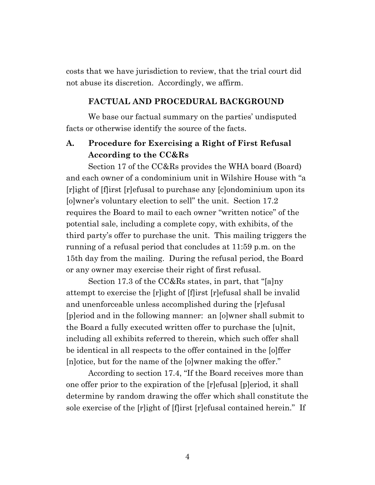costs that we have jurisdiction to review, that the trial court did not abuse its discretion. Accordingly, we affirm.

#### **FACTUAL AND PROCEDURAL BACKGROUND**

We base our factual summary on the parties' undisputed facts or otherwise identify the source of the facts.

## **A. Procedure for Exercising a Right of First Refusal According to the CC&Rs**

Section 17 of the CC&Rs provides the WHA board (Board) and each owner of a condominium unit in Wilshire House with "a [r]ight of [f]irst [r]efusal to purchase any [c]ondominium upon its [o]wner's voluntary election to sell" the unit. Section 17.2 requires the Board to mail to each owner "written notice" of the potential sale, including a complete copy, with exhibits, of the third party's offer to purchase the unit. This mailing triggers the running of a refusal period that concludes at 11:59 p.m. on the 15th day from the mailing. During the refusal period, the Board or any owner may exercise their right of first refusal.

Section 17.3 of the CC&Rs states, in part, that "[a]ny attempt to exercise the [r]ight of [f]irst [r]efusal shall be invalid and unenforceable unless accomplished during the [r]efusal [p]eriod and in the following manner: an [o]wner shall submit to the Board a fully executed written offer to purchase the [u]nit, including all exhibits referred to therein, which such offer shall be identical in all respects to the offer contained in the [o]ffer [n]otice, but for the name of the [o]wner making the offer."

According to section 17.4, "If the Board receives more than one offer prior to the expiration of the [r]efusal [p]eriod, it shall determine by random drawing the offer which shall constitute the sole exercise of the [r]ight of [f]irst [r]efusal contained herein." If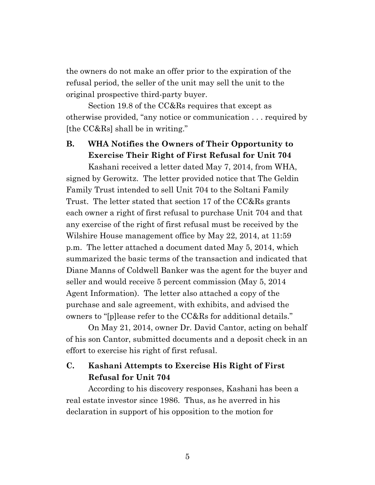the owners do not make an offer prior to the expiration of the refusal period, the seller of the unit may sell the unit to the original prospective third-party buyer.

Section 19.8 of the CC&Rs requires that except as otherwise provided, "any notice or communication . . . required by [the CC&Rs] shall be in writing."

## **B. WHA Notifies the Owners of Their Opportunity to Exercise Their Right of First Refusal for Unit 704**

Kashani received a letter dated May 7, 2014, from WHA, signed by Gerowitz. The letter provided notice that The Geldin Family Trust intended to sell Unit 704 to the Soltani Family Trust. The letter stated that section 17 of the CC&Rs grants each owner a right of first refusal to purchase Unit 704 and that any exercise of the right of first refusal must be received by the Wilshire House management office by May 22, 2014, at 11:59 p.m. The letter attached a document dated May 5, 2014, which summarized the basic terms of the transaction and indicated that Diane Manns of Coldwell Banker was the agent for the buyer and seller and would receive 5 percent commission (May 5, 2014 Agent Information). The letter also attached a copy of the purchase and sale agreement, with exhibits, and advised the owners to "[p]lease refer to the CC&Rs for additional details."

On May 21, 2014, owner Dr. David Cantor, acting on behalf of his son Cantor, submitted documents and a deposit check in an effort to exercise his right of first refusal.

## **C. Kashani Attempts to Exercise His Right of First Refusal for Unit 704**

According to his discovery responses, Kashani has been a real estate investor since 1986. Thus, as he averred in his declaration in support of his opposition to the motion for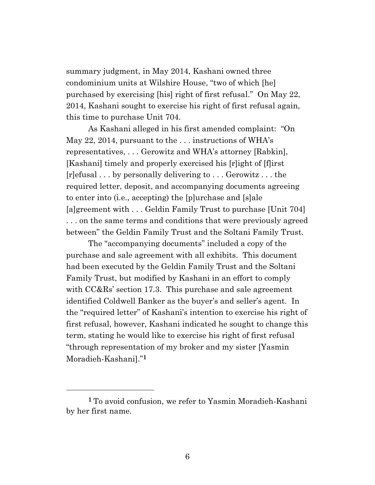summary judgment, in May 2014, Kashani owned three condominium units at Wilshire House, "two of which [he] purchased by exercising [his] right of first refusal." On May 22, 2014, Kashani sought to exercise his right of first refusal again, this time to purchase Unit 704.

As Kashani alleged in his first amended complaint: "On May 22, 2014, pursuant to the . . . instructions of WHA's representatives, . . . Gerowitz and WHA's attorney [Rabkin], [Kashani] timely and properly exercised his [r]ight of [f]irst [r]efusal . . . by personally delivering to . . . Gerowitz . . . the required letter, deposit, and accompanying documents agreeing to enter into (i.e., accepting) the [p]urchase and [s]ale [a]greement with . . . Geldin Family Trust to purchase [Unit 704] . . . on the same terms and conditions that were previously agreed between" the Geldin Family Trust and the Soltani Family Trust.

The "accompanying documents" included a copy of the purchase and sale agreement with all exhibits. This document had been executed by the Geldin Family Trust and the Soltani Family Trust, but modified by Kashani in an effort to comply with CC&Rs' section 17.3. This purchase and sale agreement identified Coldwell Banker as the buyer's and seller's agent. In the "required letter" of Kashani's intention to exercise his right of first refusal, however, Kashani indicated he sought to change this term, stating he would like to exercise his right of first refusal "through representation of my broker and my sister [Yasmin Moradieh-Kashani]."**<sup>1</sup>**

**<sup>1</sup>** To avoid confusion, we refer to Yasmin Moradieh-Kashani by her first name.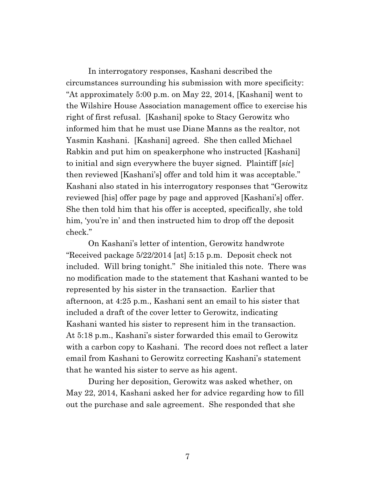In interrogatory responses, Kashani described the circumstances surrounding his submission with more specificity: "At approximately 5:00 p.m. on May 22, 2014, [Kashani] went to the Wilshire House Association management office to exercise his right of first refusal. [Kashani] spoke to Stacy Gerowitz who informed him that he must use Diane Manns as the realtor, not Yasmin Kashani. [Kashani] agreed. She then called Michael Rabkin and put him on speakerphone who instructed [Kashani] to initial and sign everywhere the buyer signed. Plaintiff [*sic*] then reviewed [Kashani's] offer and told him it was acceptable." Kashani also stated in his interrogatory responses that "Gerowitz reviewed [his] offer page by page and approved [Kashani's] offer. She then told him that his offer is accepted, specifically, she told him, 'you're in' and then instructed him to drop off the deposit check."

On Kashani's letter of intention, Gerowitz handwrote "Received package 5/22/2014 [at] 5:15 p.m. Deposit check not included. Will bring tonight." She initialed this note. There was no modification made to the statement that Kashani wanted to be represented by his sister in the transaction. Earlier that afternoon, at 4:25 p.m., Kashani sent an email to his sister that included a draft of the cover letter to Gerowitz, indicating Kashani wanted his sister to represent him in the transaction. At 5:18 p.m., Kashani's sister forwarded this email to Gerowitz with a carbon copy to Kashani. The record does not reflect a later email from Kashani to Gerowitz correcting Kashani's statement that he wanted his sister to serve as his agent.

During her deposition, Gerowitz was asked whether, on May 22, 2014, Kashani asked her for advice regarding how to fill out the purchase and sale agreement. She responded that she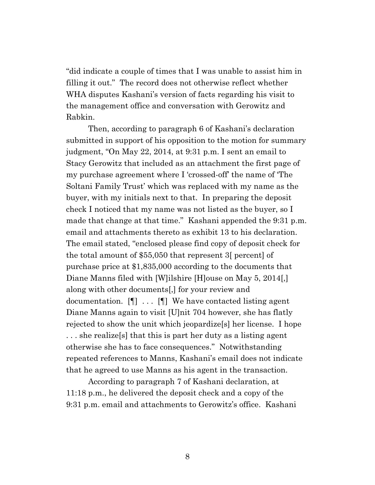"did indicate a couple of times that I was unable to assist him in filling it out." The record does not otherwise reflect whether WHA disputes Kashani's version of facts regarding his visit to the management office and conversation with Gerowitz and Rabkin.

Then, according to paragraph 6 of Kashani's declaration submitted in support of his opposition to the motion for summary judgment, "On May 22, 2014, at 9:31 p.m. I sent an email to Stacy Gerowitz that included as an attachment the first page of my purchase agreement where I 'crossed-off' the name of 'The Soltani Family Trust' which was replaced with my name as the buyer, with my initials next to that. In preparing the deposit check I noticed that my name was not listed as the buyer, so I made that change at that time." Kashani appended the 9:31 p.m. email and attachments thereto as exhibit 13 to his declaration. The email stated, "enclosed please find copy of deposit check for the total amount of \$55,050 that represent 3[ percent] of purchase price at \$1,835,000 according to the documents that Diane Manns filed with [W]ilshire [H]ouse on May 5, 2014.] along with other documents[,] for your review and documentation. [¶] . . . [¶] We have contacted listing agent Diane Manns again to visit [U]nit 704 however, she has flatly rejected to show the unit which jeopardize[s] her license. I hope . . . she realize[s] that this is part her duty as a listing agent otherwise she has to face consequences." Notwithstanding repeated references to Manns, Kashani's email does not indicate that he agreed to use Manns as his agent in the transaction.

According to paragraph 7 of Kashani declaration, at 11:18 p.m., he delivered the deposit check and a copy of the 9:31 p.m. email and attachments to Gerowitz's office. Kashani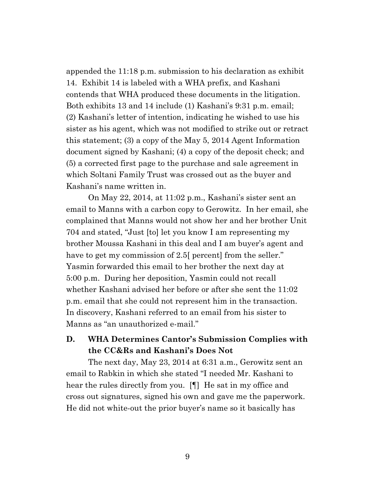appended the 11:18 p.m. submission to his declaration as exhibit 14. Exhibit 14 is labeled with a WHA prefix, and Kashani contends that WHA produced these documents in the litigation. Both exhibits 13 and 14 include (1) Kashani's 9:31 p.m. email; (2) Kashani's letter of intention, indicating he wished to use his sister as his agent, which was not modified to strike out or retract this statement; (3) a copy of the May 5, 2014 Agent Information document signed by Kashani; (4) a copy of the deposit check; and (5) a corrected first page to the purchase and sale agreement in which Soltani Family Trust was crossed out as the buyer and Kashani's name written in.

On May 22, 2014, at 11:02 p.m., Kashani's sister sent an email to Manns with a carbon copy to Gerowitz. In her email, she complained that Manns would not show her and her brother Unit 704 and stated, "Just [to] let you know I am representing my brother Moussa Kashani in this deal and I am buyer's agent and have to get my commission of 2.5 percent from the seller." Yasmin forwarded this email to her brother the next day at 5:00 p.m. During her deposition, Yasmin could not recall whether Kashani advised her before or after she sent the 11:02 p.m. email that she could not represent him in the transaction. In discovery, Kashani referred to an email from his sister to Manns as "an unauthorized e-mail."

## **D. WHA Determines Cantor's Submission Complies with the CC&Rs and Kashani's Does Not**

The next day, May 23, 2014 at 6:31 a.m., Gerowitz sent an email to Rabkin in which she stated "I needed Mr. Kashani to hear the rules directly from you. [¶] He sat in my office and cross out signatures, signed his own and gave me the paperwork. He did not white-out the prior buyer's name so it basically has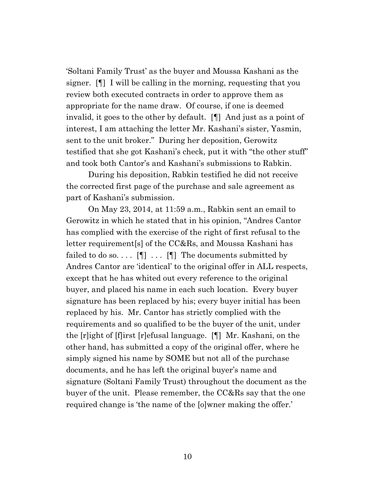'Soltani Family Trust' as the buyer and Moussa Kashani as the signer. [¶] I will be calling in the morning, requesting that you review both executed contracts in order to approve them as appropriate for the name draw. Of course, if one is deemed invalid, it goes to the other by default. [¶] And just as a point of interest, I am attaching the letter Mr. Kashani's sister, Yasmin, sent to the unit broker." During her deposition, Gerowitz testified that she got Kashani's check, put it with "the other stuff" and took both Cantor's and Kashani's submissions to Rabkin.

During his deposition, Rabkin testified he did not receive the corrected first page of the purchase and sale agreement as part of Kashani's submission.

On May 23, 2014, at 11:59 a.m., Rabkin sent an email to Gerowitz in which he stated that in his opinion, "Andres Cantor has complied with the exercise of the right of first refusal to the letter requirement[s] of the CC&Rs, and Moussa Kashani has failed to do so....  $[\P]$  ...  $[\P]$  The documents submitted by Andres Cantor are 'identical' to the original offer in ALL respects, except that he has whited out every reference to the original buyer, and placed his name in each such location. Every buyer signature has been replaced by his; every buyer initial has been replaced by his. Mr. Cantor has strictly complied with the requirements and so qualified to be the buyer of the unit, under the [r]ight of [f]irst [r]efusal language. [¶] Mr. Kashani, on the other hand, has submitted a copy of the original offer, where he simply signed his name by SOME but not all of the purchase documents, and he has left the original buyer's name and signature (Soltani Family Trust) throughout the document as the buyer of the unit. Please remember, the CC&Rs say that the one required change is 'the name of the [o]wner making the offer.'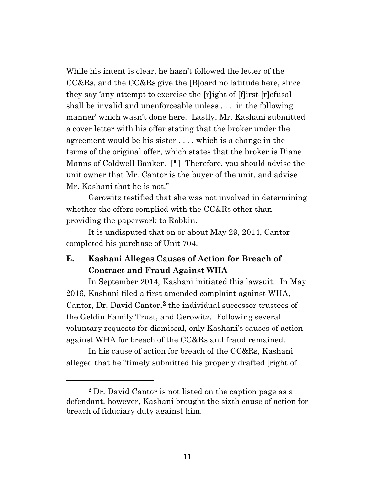While his intent is clear, he hasn't followed the letter of the CC&Rs, and the CC&Rs give the [B]oard no latitude here, since they say 'any attempt to exercise the [r]ight of [f]irst [r]efusal shall be invalid and unenforceable unless . . . in the following manner' which wasn't done here. Lastly, Mr. Kashani submitted a cover letter with his offer stating that the broker under the agreement would be his sister . . . , which is a change in the terms of the original offer, which states that the broker is Diane Manns of Coldwell Banker. [¶] Therefore, you should advise the unit owner that Mr. Cantor is the buyer of the unit, and advise Mr. Kashani that he is not."

Gerowitz testified that she was not involved in determining whether the offers complied with the CC&Rs other than providing the paperwork to Rabkin.

It is undisputed that on or about May 29, 2014, Cantor completed his purchase of Unit 704.

## **E. Kashani Alleges Causes of Action for Breach of Contract and Fraud Against WHA**

In September 2014, Kashani initiated this lawsuit. In May 2016, Kashani filed a first amended complaint against WHA, Cantor, Dr. David Cantor,**<sup>2</sup>** the individual successor trustees of the Geldin Family Trust, and Gerowitz. Following several voluntary requests for dismissal, only Kashani's causes of action against WHA for breach of the CC&Rs and fraud remained.

In his cause of action for breach of the CC&Rs, Kashani alleged that he "timely submitted his properly drafted [right of

**<sup>2</sup>** Dr. David Cantor is not listed on the caption page as a defendant, however, Kashani brought the sixth cause of action for breach of fiduciary duty against him.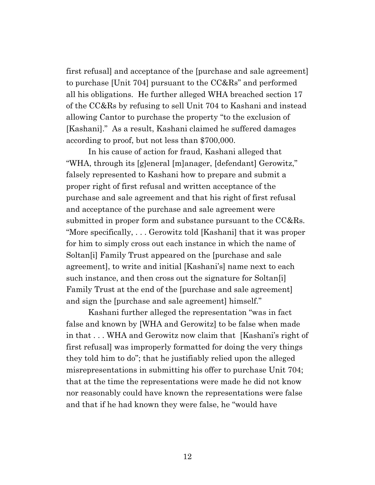first refusal] and acceptance of the [purchase and sale agreement] to purchase [Unit 704] pursuant to the CC&Rs" and performed all his obligations. He further alleged WHA breached section 17 of the CC&Rs by refusing to sell Unit 704 to Kashani and instead allowing Cantor to purchase the property "to the exclusion of [Kashani]." As a result, Kashani claimed he suffered damages according to proof, but not less than \$700,000.

In his cause of action for fraud, Kashani alleged that "WHA, through its [g]eneral [m]anager, [defendant] Gerowitz," falsely represented to Kashani how to prepare and submit a proper right of first refusal and written acceptance of the purchase and sale agreement and that his right of first refusal and acceptance of the purchase and sale agreement were submitted in proper form and substance pursuant to the CC&Rs. "More specifically, . . . Gerowitz told [Kashani] that it was proper for him to simply cross out each instance in which the name of Soltan[i] Family Trust appeared on the [purchase and sale agreement], to write and initial [Kashani's] name next to each such instance, and then cross out the signature for Soltan[i] Family Trust at the end of the [purchase and sale agreement] and sign the [purchase and sale agreement] himself."

Kashani further alleged the representation "was in fact false and known by [WHA and Gerowitz] to be false when made in that . . . WHA and Gerowitz now claim that [Kashani's right of first refusal] was improperly formatted for doing the very things they told him to do"; that he justifiably relied upon the alleged misrepresentations in submitting his offer to purchase Unit 704; that at the time the representations were made he did not know nor reasonably could have known the representations were false and that if he had known they were false, he "would have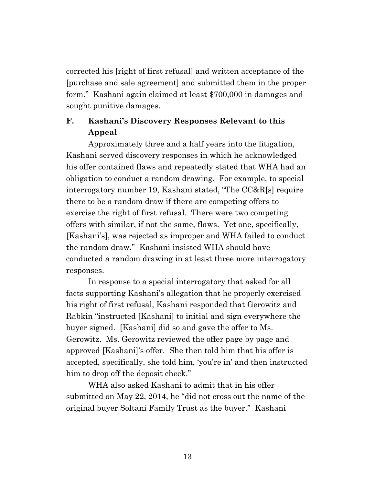corrected his [right of first refusal] and written acceptance of the [purchase and sale agreement] and submitted them in the proper form." Kashani again claimed at least \$700,000 in damages and sought punitive damages.

## **F. Kashani's Discovery Responses Relevant to this Appeal**

Approximately three and a half years into the litigation, Kashani served discovery responses in which he acknowledged his offer contained flaws and repeatedly stated that WHA had an obligation to conduct a random drawing. For example, to special interrogatory number 19, Kashani stated, "The CC&R[s] require there to be a random draw if there are competing offers to exercise the right of first refusal. There were two competing offers with similar, if not the same, flaws. Yet one, specifically, [Kashani's], was rejected as improper and WHA failed to conduct the random draw." Kashani insisted WHA should have conducted a random drawing in at least three more interrogatory responses.

In response to a special interrogatory that asked for all facts supporting Kashani's allegation that he properly exercised his right of first refusal, Kashani responded that Gerowitz and Rabkin "instructed [Kashani] to initial and sign everywhere the buyer signed. [Kashani] did so and gave the offer to Ms. Gerowitz. Ms. Gerowitz reviewed the offer page by page and approved [Kashani]'s offer. She then told him that his offer is accepted, specifically, she told him, 'you're in' and then instructed him to drop off the deposit check."

WHA also asked Kashani to admit that in his offer submitted on May 22, 2014, he "did not cross out the name of the original buyer Soltani Family Trust as the buyer." Kashani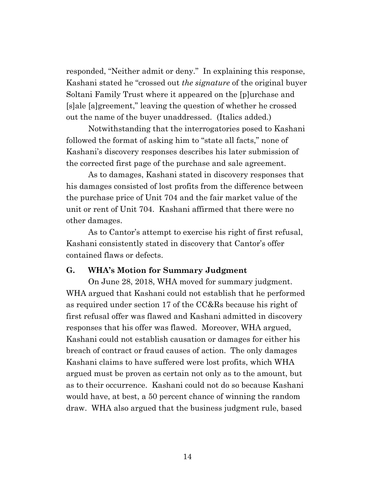responded, "Neither admit or deny." In explaining this response, Kashani stated he "crossed out *the signature* of the original buyer Soltani Family Trust where it appeared on the [p]urchase and [s]ale [a]greement," leaving the question of whether he crossed out the name of the buyer unaddressed. (Italics added.)

Notwithstanding that the interrogatories posed to Kashani followed the format of asking him to "state all facts," none of Kashani's discovery responses describes his later submission of the corrected first page of the purchase and sale agreement.

As to damages, Kashani stated in discovery responses that his damages consisted of lost profits from the difference between the purchase price of Unit 704 and the fair market value of the unit or rent of Unit 704. Kashani affirmed that there were no other damages.

As to Cantor's attempt to exercise his right of first refusal, Kashani consistently stated in discovery that Cantor's offer contained flaws or defects.

#### **G. WHA's Motion for Summary Judgment**

On June 28, 2018, WHA moved for summary judgment. WHA argued that Kashani could not establish that he performed as required under section 17 of the CC&Rs because his right of first refusal offer was flawed and Kashani admitted in discovery responses that his offer was flawed. Moreover, WHA argued, Kashani could not establish causation or damages for either his breach of contract or fraud causes of action. The only damages Kashani claims to have suffered were lost profits, which WHA argued must be proven as certain not only as to the amount, but as to their occurrence. Kashani could not do so because Kashani would have, at best, a 50 percent chance of winning the random draw. WHA also argued that the business judgment rule, based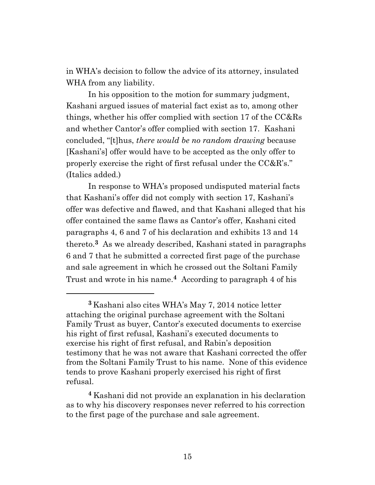in WHA's decision to follow the advice of its attorney, insulated WHA from any liability.

In his opposition to the motion for summary judgment, Kashani argued issues of material fact exist as to, among other things, whether his offer complied with section 17 of the CC&Rs and whether Cantor's offer complied with section 17. Kashani concluded, "[t]hus, *there would be no random drawing* because [Kashani's] offer would have to be accepted as the only offer to properly exercise the right of first refusal under the CC&R's." (Italics added.)

In response to WHA's proposed undisputed material facts that Kashani's offer did not comply with section 17, Kashani's offer was defective and flawed, and that Kashani alleged that his offer contained the same flaws as Cantor's offer, Kashani cited paragraphs 4, 6 and 7 of his declaration and exhibits 13 and 14 thereto.**3** As we already described, Kashani stated in paragraphs 6 and 7 that he submitted a corrected first page of the purchase and sale agreement in which he crossed out the Soltani Family Trust and wrote in his name. **<sup>4</sup>** According to paragraph 4 of his

**<sup>3</sup>** Kashani also cites WHA's May 7, 2014 notice letter attaching the original purchase agreement with the Soltani Family Trust as buyer, Cantor's executed documents to exercise his right of first refusal, Kashani's executed documents to exercise his right of first refusal, and Rabin's deposition testimony that he was not aware that Kashani corrected the offer from the Soltani Family Trust to his name. None of this evidence tends to prove Kashani properly exercised his right of first refusal.

**<sup>4</sup>** Kashani did not provide an explanation in his declaration as to why his discovery responses never referred to his correction to the first page of the purchase and sale agreement.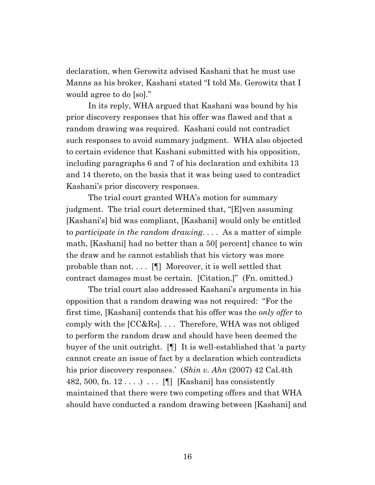declaration, when Gerowitz advised Kashani that he must use Manns as his broker, Kashani stated "I told Ms. Gerowitz that I would agree to do [so]."

In its reply, WHA argued that Kashani was bound by his prior discovery responses that his offer was flawed and that a random drawing was required. Kashani could not contradict such responses to avoid summary judgment. WHA also objected to certain evidence that Kashani submitted with his opposition, including paragraphs 6 and 7 of his declaration and exhibits 13 and 14 thereto, on the basis that it was being used to contradict Kashani's prior discovery responses.

The trial court granted WHA's motion for summary judgment. The trial court determined that, "[E]ven assuming [Kashani's] bid was compliant, [Kashani] would only be entitled to *participate in the random drawing*. . . . As a matter of simple math, [Kashani] had no better than a 50[ percent] chance to win the draw and he cannot establish that his victory was more probable than not....  $[\n\P]$  Moreover, it is well settled that contract damages must be certain. [Citation.]" (Fn. omitted.)

The trial court also addressed Kashani's arguments in his opposition that a random drawing was not required: "For the first time, [Kashani] contends that his offer was the *only offer* to comply with the [CC&Rs]. . . . Therefore, WHA was not obliged to perform the random draw and should have been deemed the buyer of the unit outright. [¶] It is well-established that 'a party cannot create an issue of fact by a declaration which contradicts his prior discovery responses.' (*Shin v. Ahn* (2007) 42 Cal.4th 482, 500, fn.  $12 \ldots$ ... [I] [Kashani] has consistently maintained that there were two competing offers and that WHA should have conducted a random drawing between [Kashani] and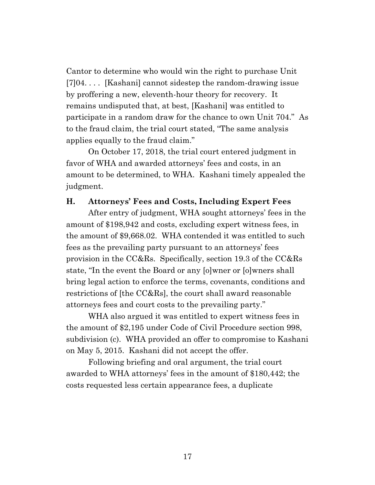Cantor to determine who would win the right to purchase Unit [7]04. . . . [Kashani] cannot sidestep the random-drawing issue by proffering a new, eleventh-hour theory for recovery. It remains undisputed that, at best, [Kashani] was entitled to participate in a random draw for the chance to own Unit 704." As to the fraud claim, the trial court stated, "The same analysis applies equally to the fraud claim."

On October 17, 2018, the trial court entered judgment in favor of WHA and awarded attorneys' fees and costs, in an amount to be determined, to WHA. Kashani timely appealed the judgment.

#### **H. Attorneys' Fees and Costs, Including Expert Fees**

After entry of judgment, WHA sought attorneys' fees in the amount of \$198,942 and costs, excluding expert witness fees, in the amount of \$9,668.02. WHA contended it was entitled to such fees as the prevailing party pursuant to an attorneys' fees provision in the CC&Rs. Specifically, section 19.3 of the CC&Rs state, "In the event the Board or any [o]wner or [o]wners shall bring legal action to enforce the terms, covenants, conditions and restrictions of [the CC&Rs], the court shall award reasonable attorneys fees and court costs to the prevailing party."

WHA also argued it was entitled to expert witness fees in the amount of \$2,195 under Code of Civil Procedure section 998, subdivision (c). WHA provided an offer to compromise to Kashani on May 5, 2015. Kashani did not accept the offer.

Following briefing and oral argument, the trial court awarded to WHA attorneys' fees in the amount of \$180,442; the costs requested less certain appearance fees, a duplicate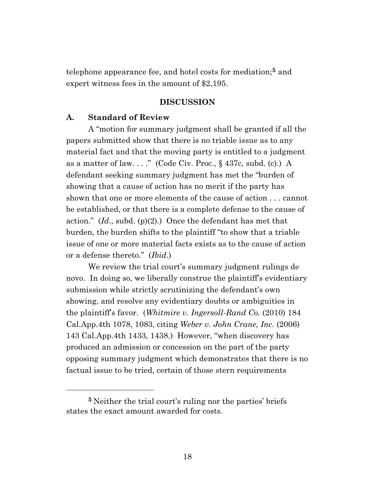telephone appearance fee, and hotel costs for mediation;**<sup>5</sup>** and expert witness fees in the amount of \$2,195.

#### **DISCUSSION**

#### **A. Standard of Review**

A "motion for summary judgment shall be granted if all the papers submitted show that there is no triable issue as to any material fact and that the moving party is entitled to a judgment as a matter of law...." (Code Civ. Proc.,  $\S$  437c, subd. (c).) A defendant seeking summary judgment has met the "burden of showing that a cause of action has no merit if the party has shown that one or more elements of the cause of action . . . cannot be established, or that there is a complete defense to the cause of action." (*Id*., subd. (p)(2).) Once the defendant has met that burden, the burden shifts to the plaintiff "to show that a triable issue of one or more material facts exists as to the cause of action or a defense thereto." (*Ibid*.)

We review the trial court's summary judgment rulings de novo. In doing so, we liberally construe the plaintiff's evidentiary submission while strictly scrutinizing the defendant's own showing, and resolve any evidentiary doubts or ambiguities in the plaintiff's favor. (*Whitmire v. Ingersoll-Rand Co.* (2010) 184 Cal.App.4th 1078, 1083, citing *Weber v. John Crane, Inc.* (2006) 143 Cal.App.4th 1433, 1438.) However, "when discovery has produced an admission or concession on the part of the party opposing summary judgment which demonstrates that there is no factual issue to be tried, certain of those stern requirements

**<sup>5</sup>** Neither the trial court's ruling nor the parties' briefs states the exact amount awarded for costs.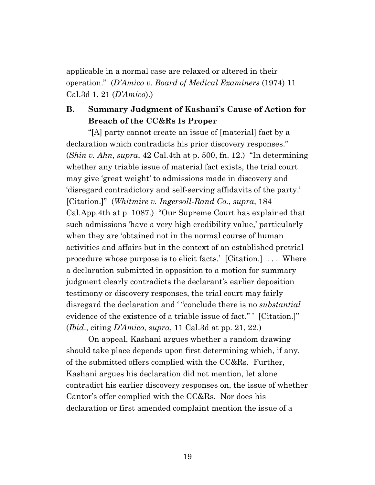applicable in a normal case are relaxed or altered in their operation." (*D'Amico v. Board of Medical Examiners* (1974) 11 Cal.3d 1, 21 (*D'Amico*).)

## **B. Summary Judgment of Kashani's Cause of Action for Breach of the CC&Rs Is Proper**

"[A] party cannot create an issue of [material] fact by a declaration which contradicts his prior discovery responses." (*Shin v. Ahn*, *supra*, 42 Cal.4th at p. 500, fn. 12.) "In determining whether any triable issue of material fact exists, the trial court may give 'great weight' to admissions made in discovery and 'disregard contradictory and self-serving affidavits of the party.' [Citation.]" (*Whitmire v. Ingersoll-Rand Co.*, *supra*, 184 Cal.App.4th at p. 1087.) "Our Supreme Court has explained that such admissions 'have a very high credibility value,' particularly when they are 'obtained not in the normal course of human activities and affairs but in the context of an established pretrial procedure whose purpose is to elicit facts.' [Citation.] . . . Where a declaration submitted in opposition to a motion for summary judgment clearly contradicts the declarant's earlier deposition testimony or discovery responses, the trial court may fairly disregard the declaration and ' "conclude there is no *substantial* evidence of the existence of a triable issue of fact." ' [Citation.]" (*Ibid*., citing *D'Amico*, *supra*, 11 Cal.3d at pp. 21, 22.)

On appeal, Kashani argues whether a random drawing should take place depends upon first determining which, if any, of the submitted offers complied with the CC&Rs. Further, Kashani argues his declaration did not mention, let alone contradict his earlier discovery responses on, the issue of whether Cantor's offer complied with the CC&Rs. Nor does his declaration or first amended complaint mention the issue of a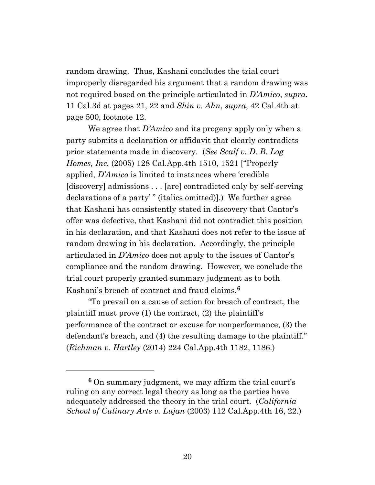random drawing. Thus, Kashani concludes the trial court improperly disregarded his argument that a random drawing was not required based on the principle articulated in *D'Amico*, *supra*, 11 Cal.3d at pages 21, 22 and *Shin v. Ahn*, *supra*, 42 Cal.4th at page 500, footnote 12.

We agree that *D'Amico* and its progeny apply only when a party submits a declaration or affidavit that clearly contradicts prior statements made in discovery. (*See Scalf v. D. B. Log Homes, Inc.* (2005) 128 Cal.App.4th 1510, 1521 ["Properly applied, *D'Amico* is limited to instances where 'credible [discovery] admissions . . . [are] contradicted only by self-serving declarations of a party' " (italics omitted)].) We further agree that Kashani has consistently stated in discovery that Cantor's offer was defective, that Kashani did not contradict this position in his declaration, and that Kashani does not refer to the issue of random drawing in his declaration. Accordingly, the principle articulated in *D'Amico* does not apply to the issues of Cantor's compliance and the random drawing. However, we conclude the trial court properly granted summary judgment as to both Kashani's breach of contract and fraud claims.**<sup>6</sup>**

"To prevail on a cause of action for breach of contract, the plaintiff must prove (1) the contract, (2) the plaintiff's performance of the contract or excuse for nonperformance, (3) the defendant's breach, and (4) the resulting damage to the plaintiff." (*Richman v. Hartley* (2014) 224 Cal.App.4th 1182, 1186.)

**<sup>6</sup>** On summary judgment, we may affirm the trial court's ruling on any correct legal theory as long as the parties have adequately addressed the theory in the trial court. (*California School of Culinary Arts v. Lujan* (2003) 112 Cal.App.4th 16, 22.)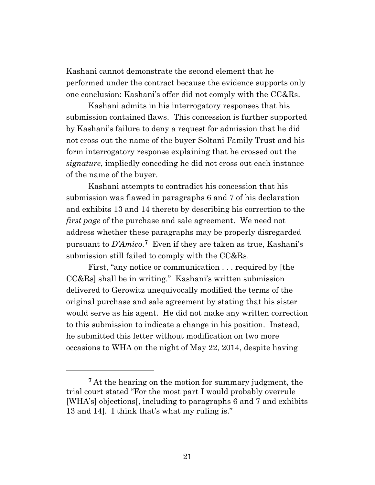Kashani cannot demonstrate the second element that he performed under the contract because the evidence supports only one conclusion: Kashani's offer did not comply with the CC&Rs.

Kashani admits in his interrogatory responses that his submission contained flaws. This concession is further supported by Kashani's failure to deny a request for admission that he did not cross out the name of the buyer Soltani Family Trust and his form interrogatory response explaining that he crossed out the *signature*, impliedly conceding he did not cross out each instance of the name of the buyer.

Kashani attempts to contradict his concession that his submission was flawed in paragraphs 6 and 7 of his declaration and exhibits 13 and 14 thereto by describing his correction to the *first page* of the purchase and sale agreement. We need not address whether these paragraphs may be properly disregarded pursuant to *D'Amico*. **<sup>7</sup>** Even if they are taken as true, Kashani's submission still failed to comply with the CC&Rs.

First, "any notice or communication . . . required by [the CC&Rs] shall be in writing." Kashani's written submission delivered to Gerowitz unequivocally modified the terms of the original purchase and sale agreement by stating that his sister would serve as his agent. He did not make any written correction to this submission to indicate a change in his position. Instead, he submitted this letter without modification on two more occasions to WHA on the night of May 22, 2014, despite having

**<sup>7</sup>** At the hearing on the motion for summary judgment, the trial court stated "For the most part I would probably overrule [WHA's] objections[, including to paragraphs 6 and 7 and exhibits 13 and 14]. I think that's what my ruling is."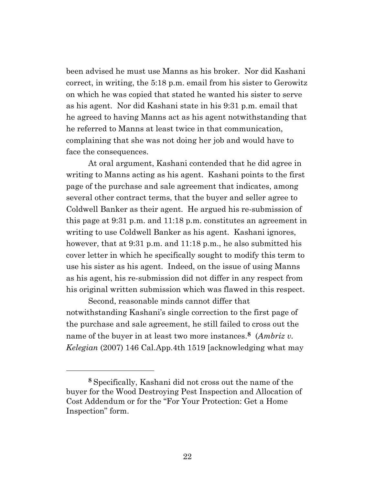been advised he must use Manns as his broker. Nor did Kashani correct, in writing, the 5:18 p.m. email from his sister to Gerowitz on which he was copied that stated he wanted his sister to serve as his agent. Nor did Kashani state in his 9:31 p.m. email that he agreed to having Manns act as his agent notwithstanding that he referred to Manns at least twice in that communication, complaining that she was not doing her job and would have to face the consequences.

At oral argument, Kashani contended that he did agree in writing to Manns acting as his agent. Kashani points to the first page of the purchase and sale agreement that indicates, among several other contract terms, that the buyer and seller agree to Coldwell Banker as their agent. He argued his re-submission of this page at 9:31 p.m. and 11:18 p.m. constitutes an agreement in writing to use Coldwell Banker as his agent. Kashani ignores, however, that at 9:31 p.m. and 11:18 p.m., he also submitted his cover letter in which he specifically sought to modify this term to use his sister as his agent. Indeed, on the issue of using Manns as his agent, his re-submission did not differ in any respect from his original written submission which was flawed in this respect.

Second, reasonable minds cannot differ that notwithstanding Kashani's single correction to the first page of the purchase and sale agreement, he still failed to cross out the name of the buyer in at least two more instances. **<sup>8</sup>** (*Ambriz v. Kelegian* (2007) 146 Cal.App.4th 1519 [acknowledging what may

**<sup>8</sup>** Specifically, Kashani did not cross out the name of the buyer for the Wood Destroying Pest Inspection and Allocation of Cost Addendum or for the "For Your Protection: Get a Home Inspection" form.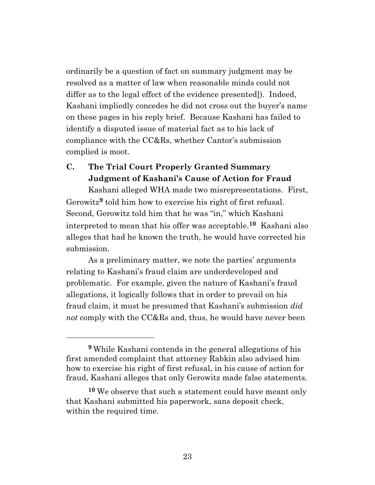ordinarily be a question of fact on summary judgment may be resolved as a matter of law when reasonable minds could not differ as to the legal effect of the evidence presented]). Indeed, Kashani impliedly concedes he did not cross out the buyer's name on these pages in his reply brief. Because Kashani has failed to identify a disputed issue of material fact as to his lack of compliance with the CC&Rs, whether Cantor's submission complied is moot.

# **C. The Trial Court Properly Granted Summary Judgment of Kashani's Cause of Action for Fraud**

Kashani alleged WHA made two misrepresentations. First, Gerowitz**<sup>9</sup>** told him how to exercise his right of first refusal. Second, Gerowitz told him that he was "in," which Kashani interpreted to mean that his offer was acceptable.**10** Kashani also alleges that had he known the truth, he would have corrected his submission.

As a preliminary matter, we note the parties' arguments relating to Kashani's fraud claim are underdeveloped and problematic. For example, given the nature of Kashani's fraud allegations, it logically follows that in order to prevail on his fraud claim, it must be presumed that Kashani's submission *did not* comply with the CC&Rs and, thus, he would have never been

**<sup>9</sup>** While Kashani contends in the general allegations of his first amended complaint that attorney Rabkin also advised him how to exercise his right of first refusal, in his cause of action for fraud, Kashani alleges that only Gerowitz made false statements.

**<sup>10</sup>** We observe that such a statement could have meant only that Kashani submitted his paperwork, sans deposit check, within the required time.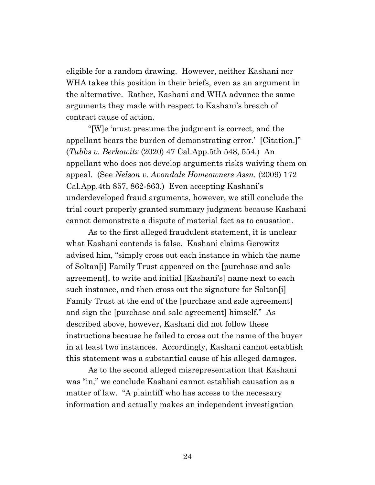eligible for a random drawing. However, neither Kashani nor WHA takes this position in their briefs, even as an argument in the alternative. Rather, Kashani and WHA advance the same arguments they made with respect to Kashani's breach of contract cause of action.

"[W]e 'must presume the judgment is correct, and the appellant bears the burden of demonstrating error.' [Citation.]" (*Tubbs v. Berkowitz* (2020) 47 Cal.App.5th 548, 554.) An appellant who does not develop arguments risks waiving them on appeal. (See *Nelson v. Avondale Homeowners Assn.* (2009) 172 Cal.App.4th 857, 862-863.) Even accepting Kashani's underdeveloped fraud arguments, however, we still conclude the trial court properly granted summary judgment because Kashani cannot demonstrate a dispute of material fact as to causation.

As to the first alleged fraudulent statement, it is unclear what Kashani contends is false. Kashani claims Gerowitz advised him, "simply cross out each instance in which the name of Soltan[i] Family Trust appeared on the [purchase and sale agreement], to write and initial [Kashani's] name next to each such instance, and then cross out the signature for Soltan<sup>[i]</sup> Family Trust at the end of the [purchase and sale agreement] and sign the [purchase and sale agreement] himself." As described above, however, Kashani did not follow these instructions because he failed to cross out the name of the buyer in at least two instances. Accordingly, Kashani cannot establish this statement was a substantial cause of his alleged damages.

As to the second alleged misrepresentation that Kashani was "in," we conclude Kashani cannot establish causation as a matter of law. "A plaintiff who has access to the necessary information and actually makes an independent investigation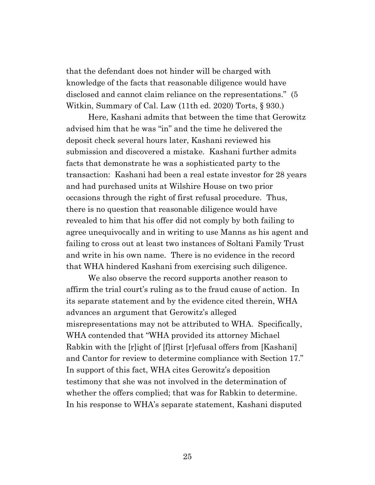that the defendant does not hinder will be charged with knowledge of the facts that reasonable diligence would have disclosed and cannot claim reliance on the representations." (5 Witkin, Summary of Cal. Law (11th ed. 2020) Torts, § 930.)

Here, Kashani admits that between the time that Gerowitz advised him that he was "in" and the time he delivered the deposit check several hours later, Kashani reviewed his submission and discovered a mistake. Kashani further admits facts that demonstrate he was a sophisticated party to the transaction: Kashani had been a real estate investor for 28 years and had purchased units at Wilshire House on two prior occasions through the right of first refusal procedure. Thus, there is no question that reasonable diligence would have revealed to him that his offer did not comply by both failing to agree unequivocally and in writing to use Manns as his agent and failing to cross out at least two instances of Soltani Family Trust and write in his own name. There is no evidence in the record that WHA hindered Kashani from exercising such diligence.

We also observe the record supports another reason to affirm the trial court's ruling as to the fraud cause of action. In its separate statement and by the evidence cited therein, WHA advances an argument that Gerowitz's alleged misrepresentations may not be attributed to WHA. Specifically, WHA contended that "WHA provided its attorney Michael Rabkin with the [r]ight of [f]irst [r]efusal offers from [Kashani] and Cantor for review to determine compliance with Section 17." In support of this fact, WHA cites Gerowitz's deposition testimony that she was not involved in the determination of whether the offers complied; that was for Rabkin to determine. In his response to WHA's separate statement, Kashani disputed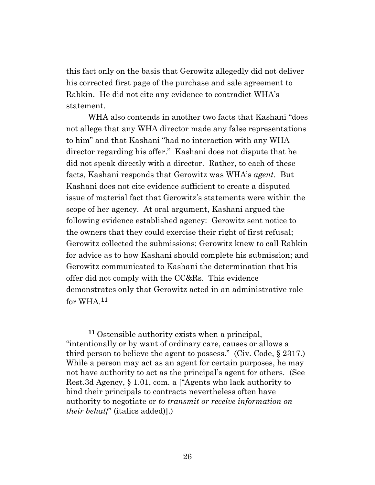this fact only on the basis that Gerowitz allegedly did not deliver his corrected first page of the purchase and sale agreement to Rabkin. He did not cite any evidence to contradict WHA's statement.

WHA also contends in another two facts that Kashani "does not allege that any WHA director made any false representations to him" and that Kashani "had no interaction with any WHA director regarding his offer." Kashani does not dispute that he did not speak directly with a director. Rather, to each of these facts, Kashani responds that Gerowitz was WHA's *agent*. But Kashani does not cite evidence sufficient to create a disputed issue of material fact that Gerowitz's statements were within the scope of her agency. At oral argument, Kashani argued the following evidence established agency: Gerowitz sent notice to the owners that they could exercise their right of first refusal; Gerowitz collected the submissions; Gerowitz knew to call Rabkin for advice as to how Kashani should complete his submission; and Gerowitz communicated to Kashani the determination that his offer did not comply with the CC&Rs. This evidence demonstrates only that Gerowitz acted in an administrative role for WHA. **11**

**<sup>11</sup>** Ostensible authority exists when a principal, "intentionally or by want of ordinary care, causes or allows a third person to believe the agent to possess." (Civ. Code, § 2317.) While a person may act as an agent for certain purposes, he may not have authority to act as the principal's agent for others. (See Rest.3d Agency, § 1.01, com. a ["Agents who lack authority to bind their principals to contracts nevertheless often have authority to negotiate or *to transmit or receive information on their behalf*" (italics added)].)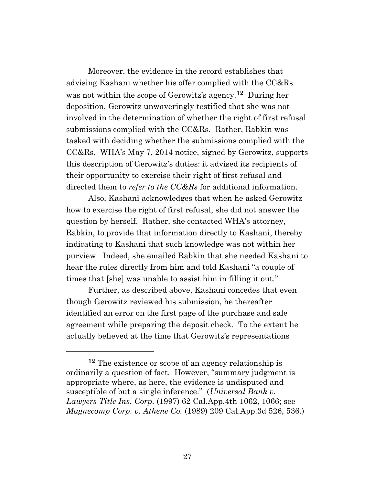Moreover, the evidence in the record establishes that advising Kashani whether his offer complied with the CC&Rs was not within the scope of Gerowitz's agency.**12** During her deposition, Gerowitz unwaveringly testified that she was not involved in the determination of whether the right of first refusal submissions complied with the CC&Rs. Rather, Rabkin was tasked with deciding whether the submissions complied with the CC&Rs. WHA's May 7, 2014 notice, signed by Gerowitz, supports this description of Gerowitz's duties: it advised its recipients of their opportunity to exercise their right of first refusal and directed them to *refer to the CC&Rs* for additional information.

Also, Kashani acknowledges that when he asked Gerowitz how to exercise the right of first refusal, she did not answer the question by herself. Rather, she contacted WHA's attorney, Rabkin, to provide that information directly to Kashani, thereby indicating to Kashani that such knowledge was not within her purview. Indeed, she emailed Rabkin that she needed Kashani to hear the rules directly from him and told Kashani "a couple of times that [she] was unable to assist him in filling it out."

Further, as described above, Kashani concedes that even though Gerowitz reviewed his submission, he thereafter identified an error on the first page of the purchase and sale agreement while preparing the deposit check. To the extent he actually believed at the time that Gerowitz's representations

**<sup>12</sup>** The existence or scope of an agency relationship is ordinarily a question of fact. However, "summary judgment is appropriate where, as here, the evidence is undisputed and susceptible of but a single inference." (*Universal Bank v. Lawyers Title Ins. Corp.* (1997) 62 Cal.App.4th 1062, 1066; see *Magnecomp Corp. v. Athene Co.* (1989) 209 Cal.App.3d 526, 536.)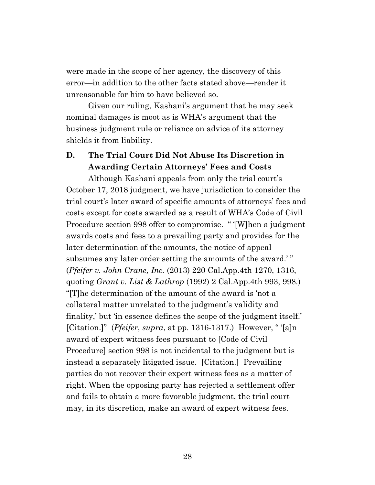were made in the scope of her agency, the discovery of this error—in addition to the other facts stated above—render it unreasonable for him to have believed so.

Given our ruling, Kashani's argument that he may seek nominal damages is moot as is WHA's argument that the business judgment rule or reliance on advice of its attorney shields it from liability.

## **D. The Trial Court Did Not Abuse Its Discretion in Awarding Certain Attorneys' Fees and Costs**

Although Kashani appeals from only the trial court's October 17, 2018 judgment, we have jurisdiction to consider the trial court's later award of specific amounts of attorneys' fees and costs except for costs awarded as a result of WHA's Code of Civil Procedure section 998 offer to compromise. " '[W]hen a judgment awards costs and fees to a prevailing party and provides for the later determination of the amounts, the notice of appeal subsumes any later order setting the amounts of the award.' " (*Pfeifer v. John Crane, Inc.* (2013) 220 Cal.App.4th 1270, 1316, quoting *Grant v. List & Lathrop* (1992) 2 Cal.App.4th 993, 998.) "[T]he determination of the amount of the award is 'not a collateral matter unrelated to the judgment's validity and finality,' but 'in essence defines the scope of the judgment itself.' [Citation.]" (*Pfeifer*, *supra*, at pp. 1316-1317.) However, " '[a]n award of expert witness fees pursuant to [Code of Civil Procedure] section 998 is not incidental to the judgment but is instead a separately litigated issue. [Citation.] Prevailing parties do not recover their expert witness fees as a matter of right. When the opposing party has rejected a settlement offer and fails to obtain a more favorable judgment, the trial court may, in its discretion, make an award of expert witness fees.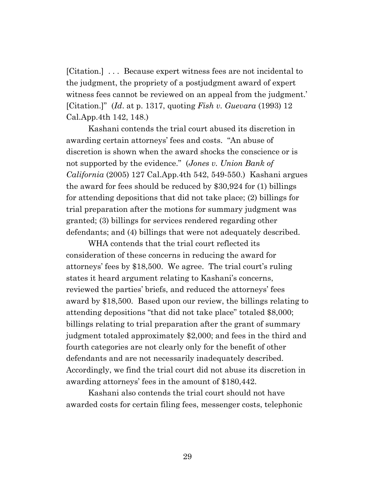[Citation.] . . . Because expert witness fees are not incidental to the judgment, the propriety of a postjudgment award of expert witness fees cannot be reviewed on an appeal from the judgment.' [Citation.]" (*Id*. at p. 1317, quoting *Fish v. Guevara* (1993) 12 Cal.App.4th 142, 148.)

Kashani contends the trial court abused its discretion in awarding certain attorneys' fees and costs. "An abuse of discretion is shown when the award shocks the conscience or is not supported by the evidence." (*Jones v. Union Bank of California* (2005) 127 Cal.App.4th 542, 549-550.) Kashani argues the award for fees should be reduced by \$30,924 for (1) billings for attending depositions that did not take place; (2) billings for trial preparation after the motions for summary judgment was granted; (3) billings for services rendered regarding other defendants; and (4) billings that were not adequately described.

WHA contends that the trial court reflected its consideration of these concerns in reducing the award for attorneys' fees by \$18,500. We agree. The trial court's ruling states it heard argument relating to Kashani's concerns, reviewed the parties' briefs, and reduced the attorneys' fees award by \$18,500. Based upon our review, the billings relating to attending depositions "that did not take place" totaled \$8,000; billings relating to trial preparation after the grant of summary judgment totaled approximately \$2,000; and fees in the third and fourth categories are not clearly only for the benefit of other defendants and are not necessarily inadequately described. Accordingly, we find the trial court did not abuse its discretion in awarding attorneys' fees in the amount of \$180,442.

Kashani also contends the trial court should not have awarded costs for certain filing fees, messenger costs, telephonic